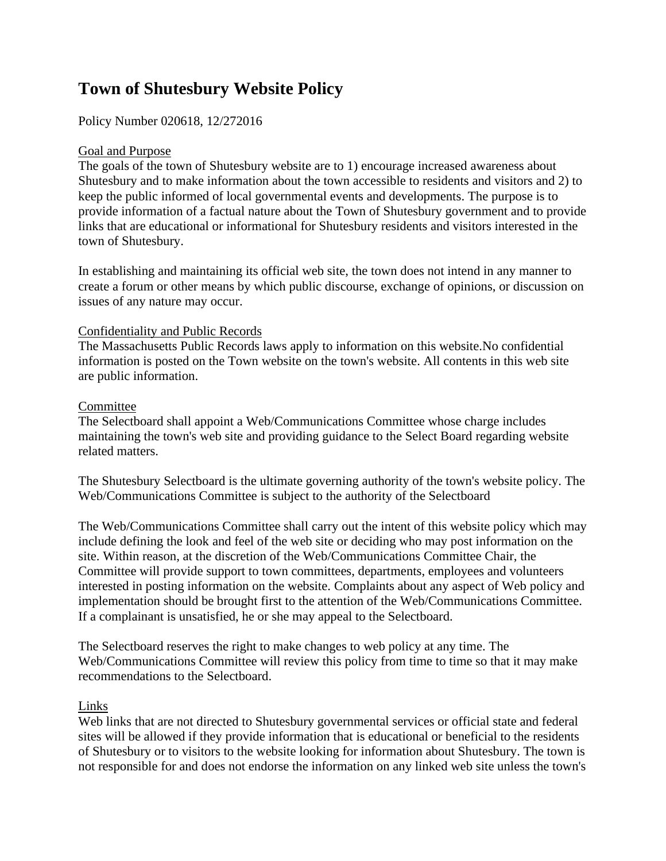# **Town of Shutesbury Website Policy**

## Policy Number 020618, 12/272016

### Goal and Purpose

The goals of the town of Shutesbury website are to 1) encourage increased awareness about Shutesbury and to make information about the town accessible to residents and visitors and 2) to keep the public informed of local governmental events and developments. The purpose is to provide information of a factual nature about the Town of Shutesbury government and to provide links that are educational or informational for Shutesbury residents and visitors interested in the town of Shutesbury.

In establishing and maintaining its official web site, the town does not intend in any manner to create a forum or other means by which public discourse, exchange of opinions, or discussion on issues of any nature may occur.

### Confidentiality and Public Records

The Massachusetts Public Records laws apply to information on this website.No confidential information is posted on the Town website on the town's website. All contents in this web site are public information.

#### **Committee**

The Selectboard shall appoint a Web/Communications Committee whose charge includes maintaining the town's web site and providing guidance to the Select Board regarding website related matters.

The Shutesbury Selectboard is the ultimate governing authority of the town's website policy. The Web/Communications Committee is subject to the authority of the Selectboard

The Web/Communications Committee shall carry out the intent of this website policy which may include defining the look and feel of the web site or deciding who may post information on the site. Within reason, at the discretion of the Web/Communications Committee Chair, the Committee will provide support to town committees, departments, employees and volunteers interested in posting information on the website. Complaints about any aspect of Web policy and implementation should be brought first to the attention of the Web/Communications Committee. If a complainant is unsatisfied, he or she may appeal to the Selectboard.

The Selectboard reserves the right to make changes to web policy at any time. The Web/Communications Committee will review this policy from time to time so that it may make recommendations to the Selectboard.

### Links

Web links that are not directed to Shutesbury governmental services or official state and federal sites will be allowed if they provide information that is educational or beneficial to the residents of Shutesbury or to visitors to the website looking for information about Shutesbury. The town is not responsible for and does not endorse the information on any linked web site unless the town's